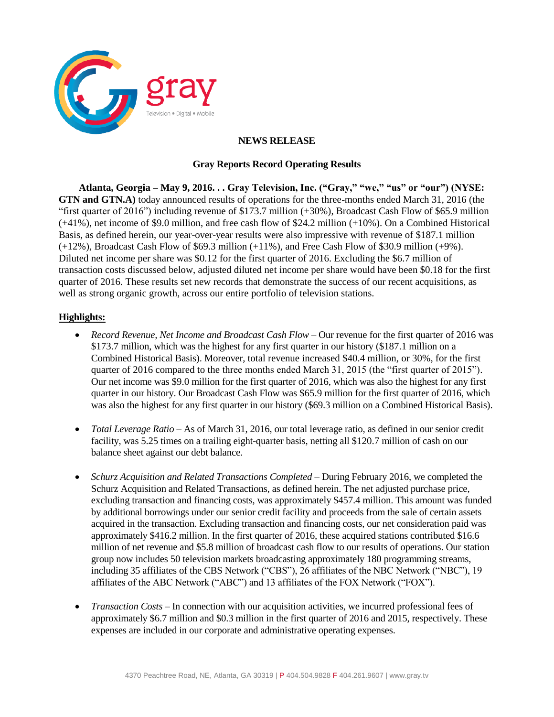

## **NEWS RELEASE**

# **Gray Reports Record Operating Results**

**Atlanta, Georgia – May 9, 2016. . . Gray Television, Inc. ("Gray," "we," "us" or "our") (NYSE: GTN and GTN.A)** today announced results of operations for the three-months ended March 31, 2016 (the "first quarter of 2016") including revenue of \$173.7 million (+30%), Broadcast Cash Flow of \$65.9 million (+41%), net income of \$9.0 million, and free cash flow of \$24.2 million (+10%). On a Combined Historical Basis, as defined herein, our year-over-year results were also impressive with revenue of \$187.1 million (+12%), Broadcast Cash Flow of \$69.3 million (+11%), and Free Cash Flow of \$30.9 million (+9%). Diluted net income per share was \$0.12 for the first quarter of 2016. Excluding the \$6.7 million of transaction costs discussed below, adjusted diluted net income per share would have been \$0.18 for the first quarter of 2016. These results set new records that demonstrate the success of our recent acquisitions, as well as strong organic growth, across our entire portfolio of television stations.

# **Highlights:**

- *Record Revenue, Net Income and Broadcast Cash Flow* Our revenue for the first quarter of 2016 was \$173.7 million, which was the highest for any first quarter in our history (\$187.1 million on a Combined Historical Basis). Moreover, total revenue increased \$40.4 million, or 30%, for the first quarter of 2016 compared to the three months ended March 31, 2015 (the "first quarter of 2015"). Our net income was \$9.0 million for the first quarter of 2016, which was also the highest for any first quarter in our history. Our Broadcast Cash Flow was \$65.9 million for the first quarter of 2016, which was also the highest for any first quarter in our history (\$69.3 million on a Combined Historical Basis).
- *Total Leverage Ratio*  As of March 31, 2016, our total leverage ratio, as defined in our senior credit facility, was 5.25 times on a trailing eight-quarter basis, netting all \$120.7 million of cash on our balance sheet against our debt balance.
- *Schurz Acquisition and Related Transactions Completed During February 2016, we completed the* Schurz Acquisition and Related Transactions, as defined herein. The net adjusted purchase price, excluding transaction and financing costs, was approximately \$457.4 million. This amount was funded by additional borrowings under our senior credit facility and proceeds from the sale of certain assets acquired in the transaction. Excluding transaction and financing costs, our net consideration paid was approximately \$416.2 million. In the first quarter of 2016, these acquired stations contributed \$16.6 million of net revenue and \$5.8 million of broadcast cash flow to our results of operations. Our station group now includes 50 television markets broadcasting approximately 180 programming streams, including 35 affiliates of the CBS Network ("CBS"), 26 affiliates of the NBC Network ("NBC"), 19 affiliates of the ABC Network ("ABC") and 13 affiliates of the FOX Network ("FOX").
- *Transaction Costs*  In connection with our acquisition activities, we incurred professional fees of approximately \$6.7 million and \$0.3 million in the first quarter of 2016 and 2015, respectively. These expenses are included in our corporate and administrative operating expenses.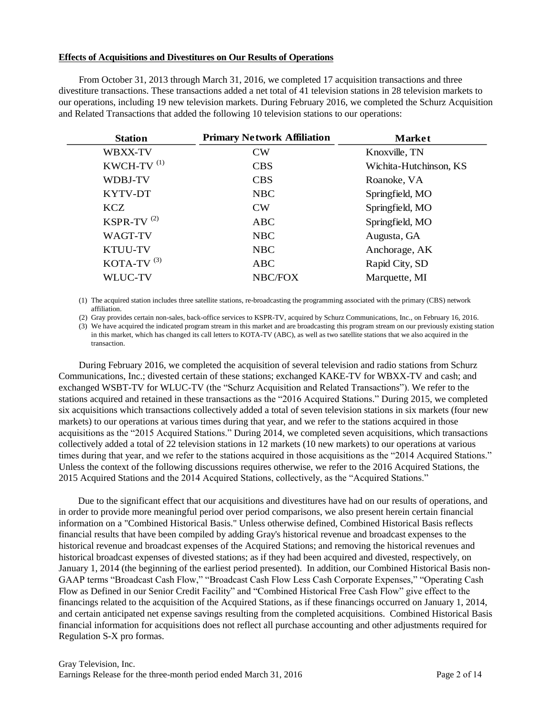#### **Effects of Acquisitions and Divestitures on Our Results of Operations**

From October 31, 2013 through March 31, 2016, we completed 17 acquisition transactions and three divestiture transactions. These transactions added a net total of 41 television stations in 28 television markets to our operations, including 19 new television markets. During February 2016, we completed the Schurz Acquisition and Related Transactions that added the following 10 television stations to our operations:

| <b>Station</b>         | <b>Primary Network Affiliation</b> | <b>Market</b>          |
|------------------------|------------------------------------|------------------------|
| WBXX-TV                | CW                                 | Knoxville, TN          |
| KWCH-TV <sup>(1)</sup> | <b>CBS</b>                         | Wichita-Hutchinson, KS |
| <b>WDBJ-TV</b>         | <b>CBS</b>                         | Roanoke, VA            |
| KYTV-DT                | <b>NBC</b>                         | Springfield, MO        |
| <b>KCZ</b>             | <b>CW</b>                          | Springfield, MO        |
| KSPR-TV $(2)$          | <b>ABC</b>                         | Springfield, MO        |
| <b>WAGT-TV</b>         | <b>NBC</b>                         | Augusta, GA            |
| <b>KTUU-TV</b>         | <b>NBC</b>                         | Anchorage, AK          |
| KOTA-TV $(3)$          | <b>ABC</b>                         | Rapid City, SD         |
| <b>WLUC-TV</b>         | NBC/FOX                            | Marquette, MI          |

(1) The acquired station includes three satellite stations, re-broadcasting the programming associated with the primary (CBS) network affiliation.

(2) Gray provides certain non-sales, back-office services to KSPR-TV, acquired by Schurz Communications, Inc., on February 16, 2016.

(3) We have acquired the indicated program stream in this market and are broadcasting this program stream on our previously existing station in this market, which has changed its call letters to KOTA-TV (ABC), as well as two satellite stations that we also acquired in the transaction.

During February 2016, we completed the acquisition of several television and radio stations from Schurz Communications, Inc.; divested certain of these stations; exchanged KAKE-TV for WBXX-TV and cash; and exchanged WSBT-TV for WLUC-TV (the "Schurz Acquisition and Related Transactions"). We refer to the stations acquired and retained in these transactions as the "2016 Acquired Stations." During 2015, we completed six acquisitions which transactions collectively added a total of seven television stations in six markets (four new markets) to our operations at various times during that year, and we refer to the stations acquired in those acquisitions as the "2015 Acquired Stations." During 2014, we completed seven acquisitions, which transactions collectively added a total of 22 television stations in 12 markets (10 new markets) to our operations at various times during that year, and we refer to the stations acquired in those acquisitions as the "2014 Acquired Stations." Unless the context of the following discussions requires otherwise, we refer to the 2016 Acquired Stations, the 2015 Acquired Stations and the 2014 Acquired Stations, collectively, as the "Acquired Stations."

Due to the significant effect that our acquisitions and divestitures have had on our results of operations, and in order to provide more meaningful period over period comparisons, we also present herein certain financial information on a "Combined Historical Basis." Unless otherwise defined, Combined Historical Basis reflects financial results that have been compiled by adding Gray's historical revenue and broadcast expenses to the historical revenue and broadcast expenses of the Acquired Stations; and removing the historical revenues and historical broadcast expenses of divested stations; as if they had been acquired and divested, respectively, on January 1, 2014 (the beginning of the earliest period presented). In addition, our Combined Historical Basis non-GAAP terms "Broadcast Cash Flow," "Broadcast Cash Flow Less Cash Corporate Expenses," "Operating Cash Flow as Defined in our Senior Credit Facility" and "Combined Historical Free Cash Flow" give effect to the financings related to the acquisition of the Acquired Stations, as if these financings occurred on January 1, 2014, and certain anticipated net expense savings resulting from the completed acquisitions. Combined Historical Basis financial information for acquisitions does not reflect all purchase accounting and other adjustments required for Regulation S-X pro formas.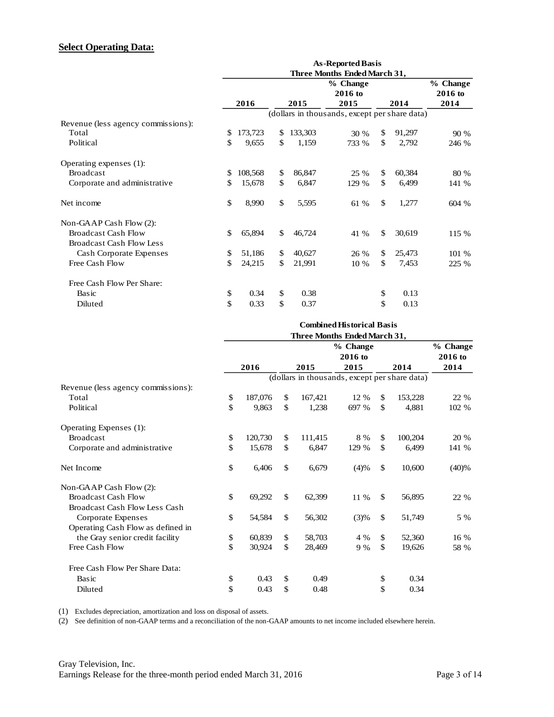# **Select Operating Data:**

|                                    | Three Months Ended March 31, |         |              |         |                                               |              |        |          |  |  |
|------------------------------------|------------------------------|---------|--------------|---------|-----------------------------------------------|--------------|--------|----------|--|--|
|                                    |                              |         |              |         | % Change                                      |              |        | % Change |  |  |
|                                    |                              |         |              |         | 2016 to                                       |              |        | 2016 to  |  |  |
|                                    |                              | 2016    |              | 2015    | 2015                                          |              | 2014   | 2014     |  |  |
|                                    |                              |         |              |         | (dollars in thousands, except per share data) |              |        |          |  |  |
| Revenue (less agency commissions): |                              |         |              |         |                                               |              |        |          |  |  |
| Total                              | \$                           | 173,723 | \$           | 133,303 | 30 %                                          | \$           | 91,297 | 90 %     |  |  |
| Political                          | \$                           | 9,655   | \$           | 1,159   | 733 %                                         | \$           | 2,792  | 246 %    |  |  |
| Operating expenses (1):            |                              |         |              |         |                                               |              |        |          |  |  |
| <b>Broadcast</b>                   | \$.                          | 108,568 | \$           | 86,847  | 25 %                                          | \$           | 60,384 | 80 %     |  |  |
| Corporate and administrative       | \$.                          | 15,678  | \$           | 6,847   | 129 %                                         | \$           | 6,499  | 141 %    |  |  |
| Net income                         | \$                           | 8,990   | $\mathbb{S}$ | 5,595   | 61 %                                          | \$           | 1,277  | 604 %    |  |  |
| Non-GAAP Cash Flow (2):            |                              |         |              |         |                                               |              |        |          |  |  |
| <b>Broadcast Cash Flow</b>         | \$                           | 65,894  | \$           | 46,724  | 41 %                                          | $\mathbb{S}$ | 30,619 | 115 %    |  |  |
| <b>Broadcast Cash Flow Less</b>    |                              |         |              |         |                                               |              |        |          |  |  |
| Cash Corporate Expenses            | \$                           | 51,186  | \$           | 40,627  | 26 %                                          | \$           | 25,473 | 101 %    |  |  |
| Free Cash Flow                     | \$                           | 24,215  | \$           | 21,991  | 10 %                                          | \$           | 7,453  | 225 %    |  |  |
| Free Cash Flow Per Share:          |                              |         |              |         |                                               |              |        |          |  |  |
| Basic                              | \$                           | 0.34    | \$           | 0.38    |                                               | \$           | 0.13   |          |  |  |
| Diluted                            | \$                           | 0.33    | \$           | 0.37    |                                               | \$           | 0.13   |          |  |  |

|                                    |    |          |               | <b>Combined Historical Basis</b>              |               |         |
|------------------------------------|----|----------|---------------|-----------------------------------------------|---------------|---------|
|                                    |    |          |               |                                               |               |         |
|                                    |    | % Change |               |                                               |               |         |
|                                    |    |          |               | 2016 to                                       |               | 2016 to |
|                                    |    | 2016     | 2015          | 2015                                          | 2014          | 2014    |
|                                    |    |          |               | (dollars in thousands, except per share data) |               |         |
| Revenue (less agency commissions): |    |          |               |                                               |               |         |
| Total                              | \$ | 187,076  | \$<br>167,421 | 12 %                                          | \$<br>153,228 | 22 %    |
| Political                          | \$ | 9.863    | \$<br>1,238   | 697 %                                         | \$<br>4.881   | 102 %   |
| Operating Expenses (1):            |    |          |               |                                               |               |         |
| <b>Broadcast</b>                   | \$ | 120,730  | \$<br>111,415 | 8 %                                           | \$<br>100,204 | 20 %    |
| Corporate and administrative       | \$ | 15,678   | \$<br>6,847   | 129 %                                         | \$<br>6,499   | 141 %   |
| Net Income                         | \$ | 6,406    | \$<br>6,679   | (4)%                                          | \$<br>10,600  | (40)%   |
| Non-GAAP Cash Flow (2):            |    |          |               |                                               |               |         |
| <b>Broadcast Cash Flow</b>         | \$ | 69,292   | \$<br>62,399  | 11 %                                          | \$<br>56,895  | 22 %    |
| Broadcast Cash Flow Less Cash      |    |          |               |                                               |               |         |
| Corporate Expenses                 | \$ | 54,584   | \$<br>56,302  | (3)%                                          | \$<br>51,749  | 5 %     |
| Operating Cash Flow as defined in  |    |          |               |                                               |               |         |
| the Gray senior credit facility    | \$ | 60,839   | \$<br>58,703  | 4 %                                           | \$<br>52,360  | 16 %    |
| Free Cash Flow                     | \$ | 30,924   | \$<br>28,469  | 9 %                                           | \$<br>19,626  | 58 %    |
| Free Cash Flow Per Share Data:     |    |          |               |                                               |               |         |
| Basic                              | \$ | 0.43     | \$<br>0.49    |                                               | \$<br>0.34    |         |
| Diluted                            | \$ | 0.43     | \$<br>0.48    |                                               | \$<br>0.34    |         |

(1) Excludes depreciation, amortization and loss on disposal of assets.

(2) See definition of non-GAAP terms and a reconciliation of the non-GAAP amounts to net income included elsewhere herein.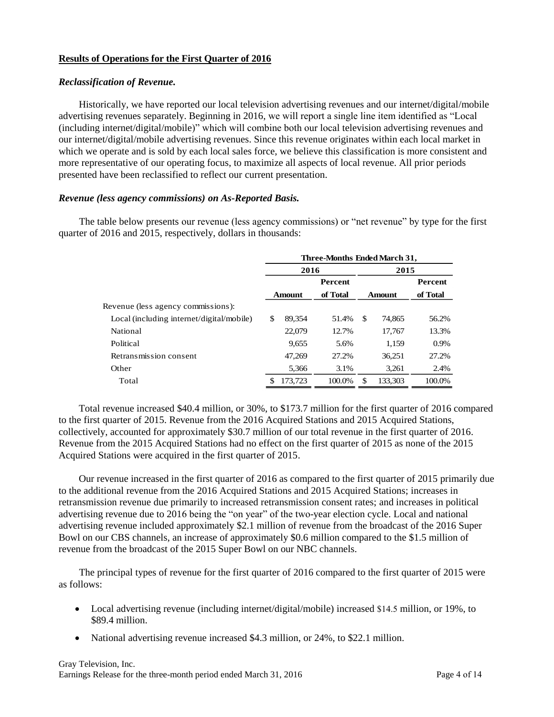#### **Results of Operations for the First Quarter of 2016**

#### *Reclassification of Revenue.*

Historically, we have reported our local television advertising revenues and our internet/digital/mobile advertising revenues separately. Beginning in 2016, we will report a single line item identified as "Local (including internet/digital/mobile)" which will combine both our local television advertising revenues and our internet/digital/mobile advertising revenues. Since this revenue originates within each local market in which we operate and is sold by each local sales force, we believe this classification is more consistent and more representative of our operating focus, to maximize all aspects of local revenue. All prior periods presented have been reclassified to reflect our current presentation.

#### *Revenue (less agency commissions) on As-Reported Basis.*

The table below presents our revenue (less agency commissions) or "net revenue" by type for the first quarter of 2016 and 2015, respectively, dollars in thousands:

|                                           | Three-Months Ended March 31, |         |                |    |               |                |  |  |  |  |
|-------------------------------------------|------------------------------|---------|----------------|----|---------------|----------------|--|--|--|--|
|                                           |                              | 2016    |                |    | 2015          |                |  |  |  |  |
|                                           |                              |         | <b>Percent</b> |    |               | <b>Percent</b> |  |  |  |  |
|                                           | of Total<br><b>Amount</b>    |         |                |    | <b>Amount</b> | of Total       |  |  |  |  |
| Revenue (less agency commissions):        |                              |         |                |    |               |                |  |  |  |  |
| Local (including internet/digital/mobile) | \$                           | 89.354  | 51.4%          | \$ | 74,865        | 56.2%          |  |  |  |  |
| National                                  |                              | 22,079  | 12.7%          |    | 17.767        | 13.3%          |  |  |  |  |
| Political                                 |                              | 9,655   | 5.6%           |    | 1,159         | 0.9%           |  |  |  |  |
| Retransmission consent                    |                              | 47.269  | 27.2%          |    | 36.251        | 27.2%          |  |  |  |  |
| Other                                     |                              | 5,366   | 3.1%           |    | 3,261         | 2.4%           |  |  |  |  |
| Total                                     |                              | 173,723 | 100.0%         | £. | 133.303       | 100.0%         |  |  |  |  |
|                                           |                              |         |                |    |               |                |  |  |  |  |

Total revenue increased \$40.4 million, or 30%, to \$173.7 million for the first quarter of 2016 compared to the first quarter of 2015. Revenue from the 2016 Acquired Stations and 2015 Acquired Stations, collectively, accounted for approximately \$30.7 million of our total revenue in the first quarter of 2016. Revenue from the 2015 Acquired Stations had no effect on the first quarter of 2015 as none of the 2015 Acquired Stations were acquired in the first quarter of 2015.

Our revenue increased in the first quarter of 2016 as compared to the first quarter of 2015 primarily due to the additional revenue from the 2016 Acquired Stations and 2015 Acquired Stations; increases in retransmission revenue due primarily to increased retransmission consent rates; and increases in political advertising revenue due to 2016 being the "on year" of the two-year election cycle. Local and national advertising revenue included approximately \$2.1 million of revenue from the broadcast of the 2016 Super Bowl on our CBS channels, an increase of approximately \$0.6 million compared to the \$1.5 million of revenue from the broadcast of the 2015 Super Bowl on our NBC channels.

The principal types of revenue for the first quarter of 2016 compared to the first quarter of 2015 were as follows:

- Local advertising revenue (including internet/digital/mobile) increased \$14.5 million, or 19%, to \$89.4 million.
- National advertising revenue increased \$4.3 million, or 24%, to \$22.1 million.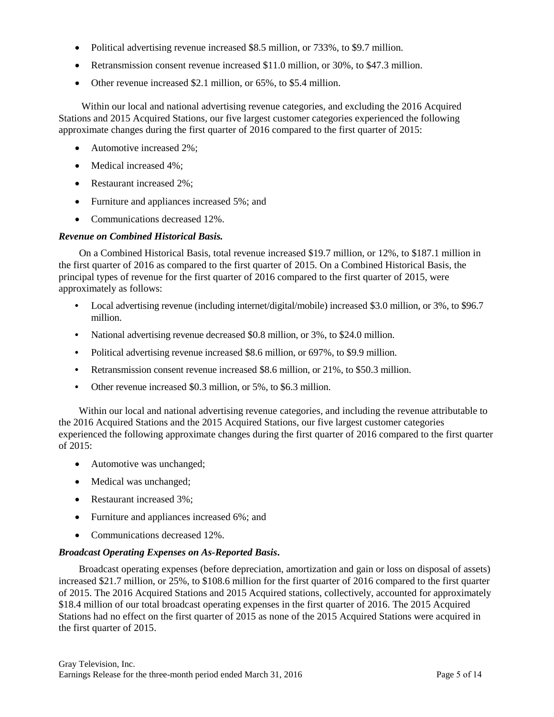- Political advertising revenue increased \$8.5 million, or 733%, to \$9.7 million.
- Retransmission consent revenue increased \$11.0 million, or 30%, to \$47.3 million.
- Other revenue increased \$2.1 million, or 65%, to \$5.4 million.

Within our local and national advertising revenue categories, and excluding the 2016 Acquired Stations and 2015 Acquired Stations, our five largest customer categories experienced the following approximate changes during the first quarter of 2016 compared to the first quarter of 2015:

- Automotive increased 2%;
- Medical increased 4%:
- Restaurant increased 2%;
- Furniture and appliances increased 5%; and
- Communications decreased 12%.

## *Revenue on Combined Historical Basis.*

On a Combined Historical Basis, total revenue increased \$19.7 million, or 12%, to \$187.1 million in the first quarter of 2016 as compared to the first quarter of 2015. On a Combined Historical Basis, the principal types of revenue for the first quarter of 2016 compared to the first quarter of 2015, were approximately as follows:

- Local advertising revenue (including internet/digital/mobile) increased \$3.0 million, or 3%, to \$96.7 million.
- **•** National advertising revenue decreased \$0.8 million, or 3%, to \$24.0 million.
- **•** Political advertising revenue increased \$8.6 million, or 697%, to \$9.9 million.
- **•** Retransmission consent revenue increased \$8.6 million, or 21%, to \$50.3 million.
- **•** Other revenue increased \$0.3 million, or 5%, to \$6.3 million.

Within our local and national advertising revenue categories, and including the revenue attributable to the 2016 Acquired Stations and the 2015 Acquired Stations, our five largest customer categories experienced the following approximate changes during the first quarter of 2016 compared to the first quarter of 2015:

- Automotive was unchanged;
- Medical was unchanged;
- Restaurant increased 3%:
- Furniture and appliances increased 6%; and
- Communications decreased 12%.

## *Broadcast Operating Expenses on As-Reported Basis***.**

Broadcast operating expenses (before depreciation, amortization and gain or loss on disposal of assets) increased \$21.7 million, or 25%, to \$108.6 million for the first quarter of 2016 compared to the first quarter of 2015. The 2016 Acquired Stations and 2015 Acquired stations, collectively, accounted for approximately \$18.4 million of our total broadcast operating expenses in the first quarter of 2016. The 2015 Acquired Stations had no effect on the first quarter of 2015 as none of the 2015 Acquired Stations were acquired in the first quarter of 2015.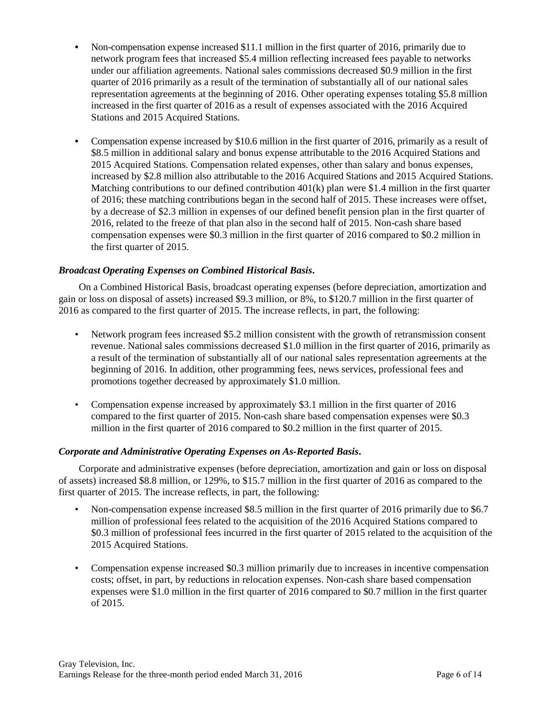- Non-compensation expense increased \$11.1 million in the first quarter of 2016, primarily due to network program fees that increased \$5.4 million reflecting increased fees payable to networks under our affiliation agreements. National sales commissions decreased \$0.9 million in the first quarter of 2016 primarily as a result of the termination of substantially all of our national sales representation agreements at the beginning of 2016. Other operating expenses totaling \$5.8 million increased in the first quarter of 2016 as a result of expenses associated with the 2016 Acquired Stations and 2015 Acquired Stations.
- **•** Compensation expense increased by \$10.6 million in the first quarter of 2016, primarily as a result of \$8.5 million in additional salary and bonus expense attributable to the 2016 Acquired Stations and 2015 Acquired Stations. Compensation related expenses, other than salary and bonus expenses, increased by \$2.8 million also attributable to the 2016 Acquired Stations and 2015 Acquired Stations. Matching contributions to our defined contribution  $401(k)$  plan were \$1.4 million in the first quarter of 2016; these matching contributions began in the second half of 2015. These increases were offset, by a decrease of \$2.3 million in expenses of our defined benefit pension plan in the first quarter of 2016, related to the freeze of that plan also in the second half of 2015. Non-cash share based compensation expenses were \$0.3 million in the first quarter of 2016 compared to \$0.2 million in the first quarter of 2015.

# *Broadcast Operating Expenses on Combined Historical Basis***.**

On a Combined Historical Basis, broadcast operating expenses (before depreciation, amortization and gain or loss on disposal of assets) increased \$9.3 million, or 8%, to \$120.7 million in the first quarter of 2016 as compared to the first quarter of 2015. The increase reflects, in part, the following:

- Network program fees increased \$5.2 million consistent with the growth of retransmission consent revenue. National sales commissions decreased \$1.0 million in the first quarter of 2016, primarily as a result of the termination of substantially all of our national sales representation agreements at the beginning of 2016. In addition, other programming fees, news services, professional fees and promotions together decreased by approximately \$1.0 million.
- Compensation expense increased by approximately \$3.1 million in the first quarter of 2016 compared to the first quarter of 2015. Non-cash share based compensation expenses were \$0.3 million in the first quarter of 2016 compared to \$0.2 million in the first quarter of 2015.

## *Corporate and Administrative Operating Expenses on As-Reported Basis***.**

Corporate and administrative expenses (before depreciation, amortization and gain or loss on disposal of assets) increased \$8.8 million, or 129%, to \$15.7 million in the first quarter of 2016 as compared to the first quarter of 2015. The increase reflects, in part, the following:

- Non-compensation expense increased \$8.5 million in the first quarter of 2016 primarily due to \$6.7 million of professional fees related to the acquisition of the 2016 Acquired Stations compared to \$0.3 million of professional fees incurred in the first quarter of 2015 related to the acquisition of the 2015 Acquired Stations.
- Compensation expense increased \$0.3 million primarily due to increases in incentive compensation costs; offset, in part, by reductions in relocation expenses. Non-cash share based compensation expenses were \$1.0 million in the first quarter of 2016 compared to \$0.7 million in the first quarter of 2015.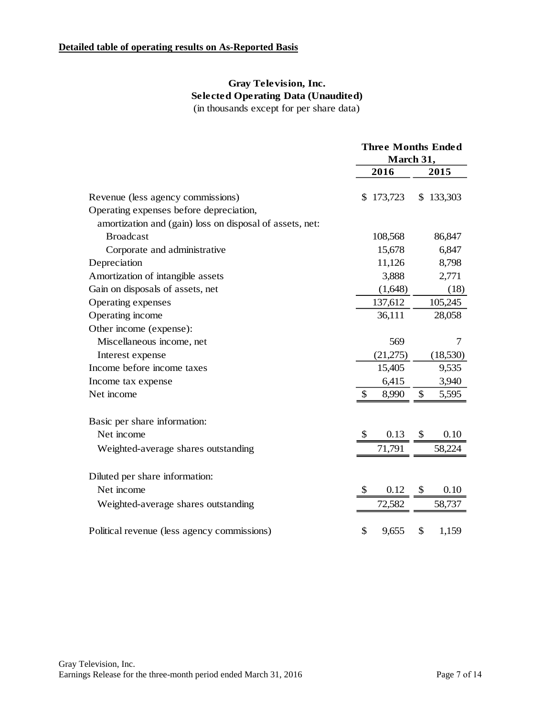# **Gray Television, Inc. Selected Operating Data (Unaudited)** (in thousands except for per share data)

|                                                          |    | <b>Three Months Ended</b><br>March 31, |    |           |
|----------------------------------------------------------|----|----------------------------------------|----|-----------|
|                                                          |    | 2016                                   |    | 2015      |
| Revenue (less agency commissions)                        |    | \$173,723                              |    | \$133,303 |
| Operating expenses before depreciation,                  |    |                                        |    |           |
| amortization and (gain) loss on disposal of assets, net: |    |                                        |    |           |
| <b>Broadcast</b>                                         |    | 108,568                                |    | 86,847    |
| Corporate and administrative                             |    | 15,678                                 |    | 6,847     |
| Depreciation                                             |    | 11,126                                 |    | 8,798     |
| Amortization of intangible assets                        |    | 3,888                                  |    | 2,771     |
| Gain on disposals of assets, net                         |    | (1,648)                                |    | (18)      |
| Operating expenses                                       |    | 137,612                                |    | 105,245   |
| Operating income                                         |    | 36,111                                 |    | 28,058    |
| Other income (expense):                                  |    |                                        |    |           |
| Miscellaneous income, net                                |    | 569                                    |    | 7         |
| Interest expense                                         |    | (21,275)                               |    | (18,530)  |
| Income before income taxes                               |    | 15,405                                 |    | 9,535     |
| Income tax expense                                       |    | 6,415                                  |    | 3,940     |
| Net income                                               | \$ | 8,990                                  | \$ | 5,595     |
| Basic per share information:                             |    |                                        |    |           |
| Net income                                               |    | 0.13                                   | S. | 0.10      |
| Weighted-average shares outstanding                      |    | 71,791                                 |    | 58,224    |
| Diluted per share information:                           |    |                                        |    |           |
| Net income                                               | S  | 0.12                                   | S  | 0.10      |
| Weighted-average shares outstanding                      |    | 72,582                                 |    | 58,737    |
|                                                          |    |                                        |    |           |
| Political revenue (less agency commissions)              | \$ | 9,655                                  | \$ | 1,159     |
|                                                          |    |                                        |    |           |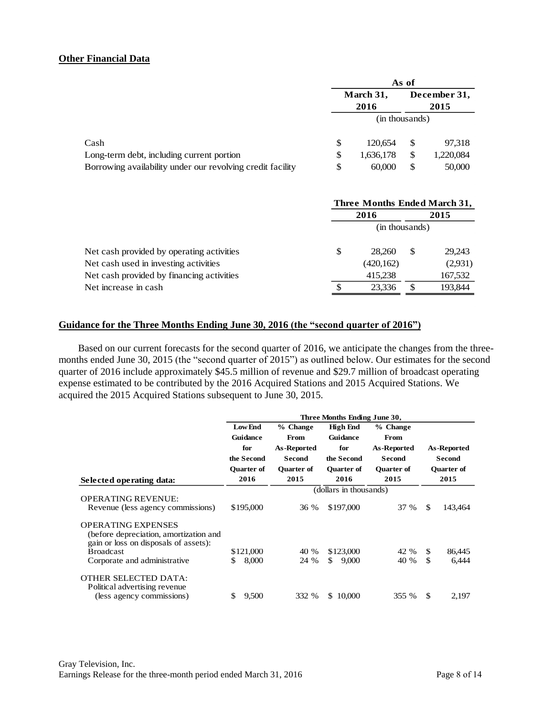#### **Other Financial Data**

|                                                            | As of             |           |    |                      |  |  |
|------------------------------------------------------------|-------------------|-----------|----|----------------------|--|--|
|                                                            | March 31,<br>2016 |           |    | December 31,<br>2015 |  |  |
|                                                            | (in thousands)    |           |    |                      |  |  |
| Cash                                                       | S                 | 120.654   | S  | 97,318               |  |  |
| Long-term debt, including current portion                  | \$                | 1,636,178 | S  | 1,220,084            |  |  |
| Borrowing availability under our revolving credit facility | S                 | 60,000    | \$ | 50,000               |  |  |

|                                           | Three Months Ended March 31, |   |         |  |  |  |  |
|-------------------------------------------|------------------------------|---|---------|--|--|--|--|
|                                           | 2016                         |   | 2015    |  |  |  |  |
|                                           | (in thousands)               |   |         |  |  |  |  |
| Net cash provided by operating activities | \$<br>28.260                 | S | 29,243  |  |  |  |  |
| Net cash used in investing activities     | (420,162)                    |   | (2,931) |  |  |  |  |
| Net cash provided by financing activities | 415,238                      |   | 167,532 |  |  |  |  |
| Net increase in cash.                     | 23.336                       |   | 193.844 |  |  |  |  |

#### **Guidance for the Three Months Ending June 30, 2016 (the "second quarter of 2016")**

Based on our current forecasts for the second quarter of 2016, we anticipate the changes from the threemonths ended June 30, 2015 (the "second quarter of 2015") as outlined below. Our estimates for the second quarter of 2016 include approximately \$45.5 million of revenue and \$29.7 million of broadcast operating expense estimated to be contributed by the 2016 Acquired Stations and 2015 Acquired Stations. We acquired the 2015 Acquired Stations subsequent to June 30, 2015.

|                                                                                                              | Three Months Ending June 30, |                        |                   |                   |                   |               |  |  |  |  |  |
|--------------------------------------------------------------------------------------------------------------|------------------------------|------------------------|-------------------|-------------------|-------------------|---------------|--|--|--|--|--|
|                                                                                                              | <b>Low End</b>               | % Change               | <b>High End</b>   | % Change          |                   |               |  |  |  |  |  |
|                                                                                                              | Guidance                     | <b>From</b>            | <b>Guidance</b>   | From              |                   |               |  |  |  |  |  |
|                                                                                                              | for                          | As-Reported            | for               | As-Reported       | As-Reported       |               |  |  |  |  |  |
|                                                                                                              | the Second                   | <b>Second</b>          | the Second        | <b>Second</b>     |                   | <b>Second</b> |  |  |  |  |  |
|                                                                                                              | <b>Ouarter of</b>            | <b>Ouarter of</b>      | <b>Ouarter of</b> | <b>Ouarter of</b> | <b>Ouarter of</b> |               |  |  |  |  |  |
| Selected operating data:                                                                                     | 2016                         | 2015                   | 2016              | 2015              |                   | 2015          |  |  |  |  |  |
|                                                                                                              |                              | (dollars in thousands) |                   |                   |                   |               |  |  |  |  |  |
| <b>OPERATING REVENUE:</b>                                                                                    |                              |                        |                   |                   |                   |               |  |  |  |  |  |
| Revenue (less agency commissions)                                                                            | \$195,000                    | 36 %                   | \$197,000         | 37 %              | \$.               | 143,464       |  |  |  |  |  |
| <b>OPERATING EXPENSES</b><br>(before depreciation, amortization and<br>gain or loss on disposals of assets): |                              |                        |                   |                   |                   |               |  |  |  |  |  |
| <b>Broadcast</b>                                                                                             | \$121,000                    | 40 %                   | \$123,000         | 42 %              | \$                | 86,445        |  |  |  |  |  |
| Corporate and administrative                                                                                 | 8,000<br>\$                  | 24 %                   | \$<br>9,000       | 40 %              | \$                | 6,444         |  |  |  |  |  |
| OTHER SELECTED DATA:<br>Political advertising revenue.                                                       |                              |                        |                   |                   |                   |               |  |  |  |  |  |
| (less agency commissions)                                                                                    | 9,500<br>\$                  | 332 %                  | \$10,000          | 355 %             | \$.               | 2,197         |  |  |  |  |  |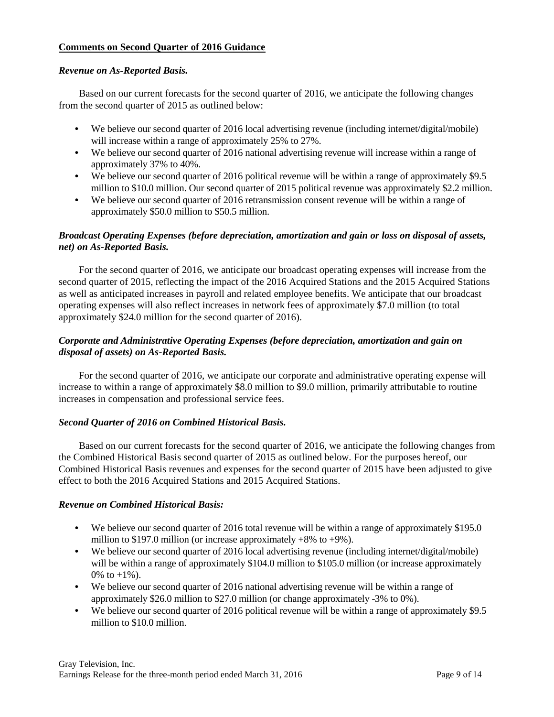## **Comments on Second Quarter of 2016 Guidance**

## *Revenue on As-Reported Basis.*

Based on our current forecasts for the second quarter of 2016, we anticipate the following changes from the second quarter of 2015 as outlined below:

- We believe our second quarter of 2016 local advertising revenue (including internet/digital/mobile) will increase within a range of approximately 25% to 27%.
- We believe our second quarter of 2016 national advertising revenue will increase within a range of approximately 37% to 40%.
- We believe our second quarter of 2016 political revenue will be within a range of approximately \$9.5 million to \$10.0 million. Our second quarter of 2015 political revenue was approximately \$2.2 million.
- We believe our second quarter of 2016 retransmission consent revenue will be within a range of approximately \$50.0 million to \$50.5 million.

# *Broadcast Operating Expenses (before depreciation, amortization and gain or loss on disposal of assets, net) on As-Reported Basis.*

For the second quarter of 2016, we anticipate our broadcast operating expenses will increase from the second quarter of 2015, reflecting the impact of the 2016 Acquired Stations and the 2015 Acquired Stations as well as anticipated increases in payroll and related employee benefits. We anticipate that our broadcast operating expenses will also reflect increases in network fees of approximately \$7.0 million (to total approximately \$24.0 million for the second quarter of 2016).

# *Corporate and Administrative Operating Expenses (before depreciation, amortization and gain on disposal of assets) on As-Reported Basis.*

For the second quarter of 2016, we anticipate our corporate and administrative operating expense will increase to within a range of approximately \$8.0 million to \$9.0 million, primarily attributable to routine increases in compensation and professional service fees.

## *Second Quarter of 2016 on Combined Historical Basis.*

Based on our current forecasts for the second quarter of 2016, we anticipate the following changes from the Combined Historical Basis second quarter of 2015 as outlined below. For the purposes hereof, our Combined Historical Basis revenues and expenses for the second quarter of 2015 have been adjusted to give effect to both the 2016 Acquired Stations and 2015 Acquired Stations.

## *Revenue on Combined Historical Basis:*

- We believe our second quarter of 2016 total revenue will be within a range of approximately \$195.0 million to \$197.0 million (or increase approximately  $+8\%$  to  $+9\%$ ).
- We believe our second quarter of 2016 local advertising revenue (including internet/digital/mobile) will be within a range of approximately \$104.0 million to \$105.0 million (or increase approximately 0\% to  $+1\%$ ).
- **•** We believe our second quarter of 2016 national advertising revenue will be within a range of approximately \$26.0 million to \$27.0 million (or change approximately -3% to 0%).
- **•** We believe our second quarter of 2016 political revenue will be within a range of approximately \$9.5 million to \$10.0 million.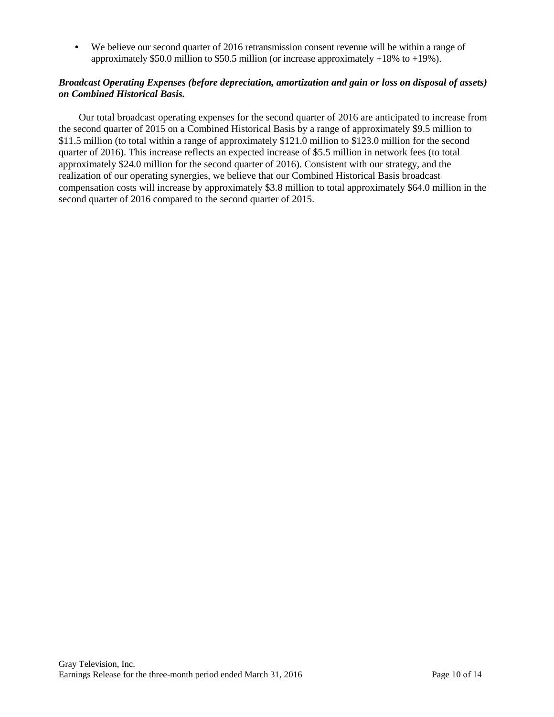**•** We believe our second quarter of 2016 retransmission consent revenue will be within a range of approximately \$50.0 million to \$50.5 million (or increase approximately +18% to +19%).

## *Broadcast Operating Expenses (before depreciation, amortization and gain or loss on disposal of assets) on Combined Historical Basis.*

Our total broadcast operating expenses for the second quarter of 2016 are anticipated to increase from the second quarter of 2015 on a Combined Historical Basis by a range of approximately \$9.5 million to \$11.5 million (to total within a range of approximately \$121.0 million to \$123.0 million for the second quarter of 2016). This increase reflects an expected increase of \$5.5 million in network fees (to total approximately \$24.0 million for the second quarter of 2016). Consistent with our strategy, and the realization of our operating synergies, we believe that our Combined Historical Basis broadcast compensation costs will increase by approximately \$3.8 million to total approximately \$64.0 million in the second quarter of 2016 compared to the second quarter of 2015.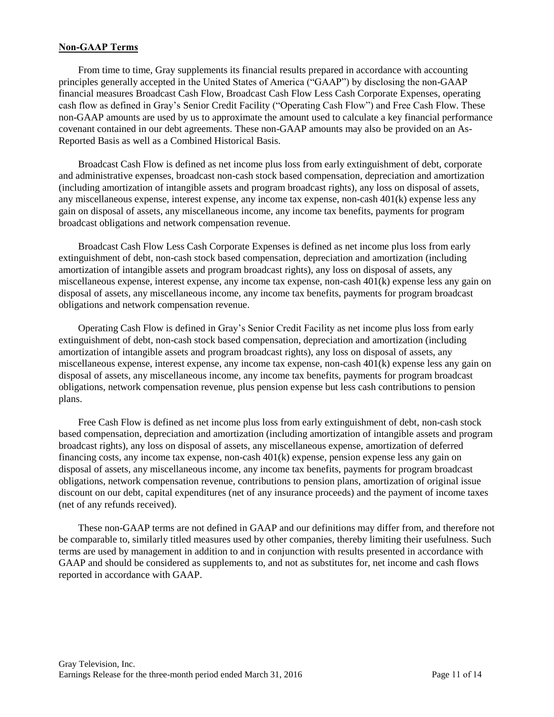## **Non-GAAP Terms**

From time to time, Gray supplements its financial results prepared in accordance with accounting principles generally accepted in the United States of America ("GAAP") by disclosing the non-GAAP financial measures Broadcast Cash Flow, Broadcast Cash Flow Less Cash Corporate Expenses, operating cash flow as defined in Gray's Senior Credit Facility ("Operating Cash Flow") and Free Cash Flow. These non-GAAP amounts are used by us to approximate the amount used to calculate a key financial performance covenant contained in our debt agreements. These non-GAAP amounts may also be provided on an As-Reported Basis as well as a Combined Historical Basis.

Broadcast Cash Flow is defined as net income plus loss from early extinguishment of debt, corporate and administrative expenses, broadcast non-cash stock based compensation, depreciation and amortization (including amortization of intangible assets and program broadcast rights), any loss on disposal of assets, any miscellaneous expense, interest expense, any income tax expense, non-cash 401(k) expense less any gain on disposal of assets, any miscellaneous income, any income tax benefits, payments for program broadcast obligations and network compensation revenue.

Broadcast Cash Flow Less Cash Corporate Expenses is defined as net income plus loss from early extinguishment of debt, non-cash stock based compensation, depreciation and amortization (including amortization of intangible assets and program broadcast rights), any loss on disposal of assets, any miscellaneous expense, interest expense, any income tax expense, non-cash 401(k) expense less any gain on disposal of assets, any miscellaneous income, any income tax benefits, payments for program broadcast obligations and network compensation revenue.

Operating Cash Flow is defined in Gray's Senior Credit Facility as net income plus loss from early extinguishment of debt, non-cash stock based compensation, depreciation and amortization (including amortization of intangible assets and program broadcast rights), any loss on disposal of assets, any miscellaneous expense, interest expense, any income tax expense, non-cash 401(k) expense less any gain on disposal of assets, any miscellaneous income, any income tax benefits, payments for program broadcast obligations, network compensation revenue, plus pension expense but less cash contributions to pension plans.

Free Cash Flow is defined as net income plus loss from early extinguishment of debt, non-cash stock based compensation, depreciation and amortization (including amortization of intangible assets and program broadcast rights), any loss on disposal of assets, any miscellaneous expense, amortization of deferred financing costs, any income tax expense, non-cash 401(k) expense, pension expense less any gain on disposal of assets, any miscellaneous income, any income tax benefits, payments for program broadcast obligations, network compensation revenue, contributions to pension plans, amortization of original issue discount on our debt, capital expenditures (net of any insurance proceeds) and the payment of income taxes (net of any refunds received).

These non-GAAP terms are not defined in GAAP and our definitions may differ from, and therefore not be comparable to, similarly titled measures used by other companies, thereby limiting their usefulness. Such terms are used by management in addition to and in conjunction with results presented in accordance with GAAP and should be considered as supplements to, and not as substitutes for, net income and cash flows reported in accordance with GAAP.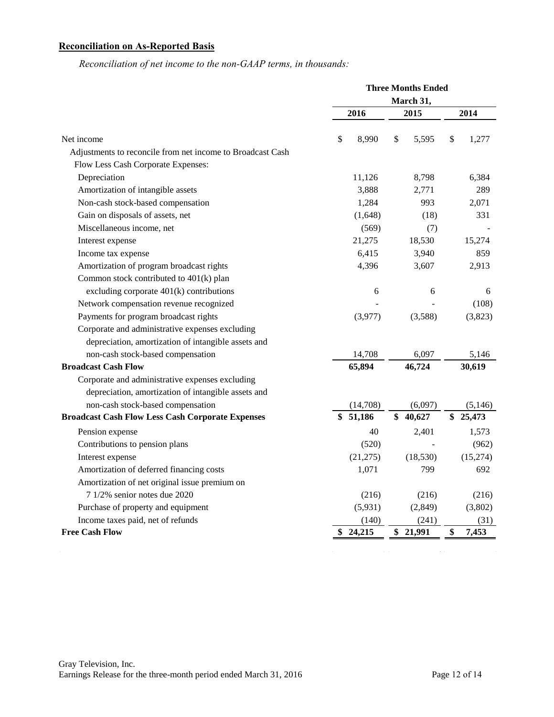# **Reconciliation on As-Reported Basis**

*Reconciliation of net income to the non-GAAP terms, in thousands:*

|                                                            | <b>Three Months Ended</b> |             |             |  |  |
|------------------------------------------------------------|---------------------------|-------------|-------------|--|--|
|                                                            |                           | March 31,   |             |  |  |
|                                                            | 2016                      | 2015        | 2014        |  |  |
| Net income                                                 | \$<br>8,990               | \$<br>5,595 | \$<br>1,277 |  |  |
| Adjustments to reconcile from net income to Broadcast Cash |                           |             |             |  |  |
| Flow Less Cash Corporate Expenses:                         |                           |             |             |  |  |
| Depreciation                                               | 11,126                    | 8,798       | 6,384       |  |  |
| Amortization of intangible assets                          | 3,888                     | 2,771       | 289         |  |  |
| Non-cash stock-based compensation                          | 1,284                     | 993         | 2,071       |  |  |
| Gain on disposals of assets, net                           | (1,648)                   | (18)        | 331         |  |  |
| Miscellaneous income, net                                  | (569)                     | (7)         |             |  |  |
| Interest expense                                           | 21,275                    | 18,530      | 15,274      |  |  |
| Income tax expense                                         | 6,415                     | 3,940       | 859         |  |  |
| Amortization of program broadcast rights                   | 4,396                     | 3,607       | 2,913       |  |  |
| Common stock contributed to 401(k) plan                    |                           |             |             |  |  |
| excluding corporate $401(k)$ contributions                 | 6                         | 6           | 6           |  |  |
| Network compensation revenue recognized                    |                           |             | (108)       |  |  |
| Payments for program broadcast rights                      | (3,977)                   | (3,588)     | (3,823)     |  |  |
| Corporate and administrative expenses excluding            |                           |             |             |  |  |
| depreciation, amortization of intangible assets and        |                           |             |             |  |  |
| non-cash stock-based compensation                          | 14,708                    | 6,097       | 5,146       |  |  |
| <b>Broadcast Cash Flow</b>                                 | 65,894                    | 46,724      | 30,619      |  |  |
| Corporate and administrative expenses excluding            |                           |             |             |  |  |
| depreciation, amortization of intangible assets and        |                           |             |             |  |  |
| non-cash stock-based compensation                          | (14,708)                  | (6,097)     | (5, 146)    |  |  |
| <b>Broadcast Cash Flow Less Cash Corporate Expenses</b>    | \$51,186                  | \$40,627    | \$25,473    |  |  |
| Pension expense                                            | 40                        | 2,401       | 1,573       |  |  |
| Contributions to pension plans                             | (520)                     |             | (962)       |  |  |
| Interest expense                                           | (21, 275)                 | (18, 530)   | (15,274)    |  |  |
| Amortization of deferred financing costs                   | 1,071                     | 799         | 692         |  |  |
| Amortization of net original issue premium on              |                           |             |             |  |  |
| 7 1/2% senior notes due 2020                               | (216)                     | (216)       | (216)       |  |  |
| Purchase of property and equipment                         | (5,931)                   | (2,849)     | (3,802)     |  |  |
| Income taxes paid, net of refunds                          | (140)                     | (241)       | (31)        |  |  |
| <b>Free Cash Flow</b>                                      | 24,215<br>\$              | \$ 21,991   | \$<br>7,453 |  |  |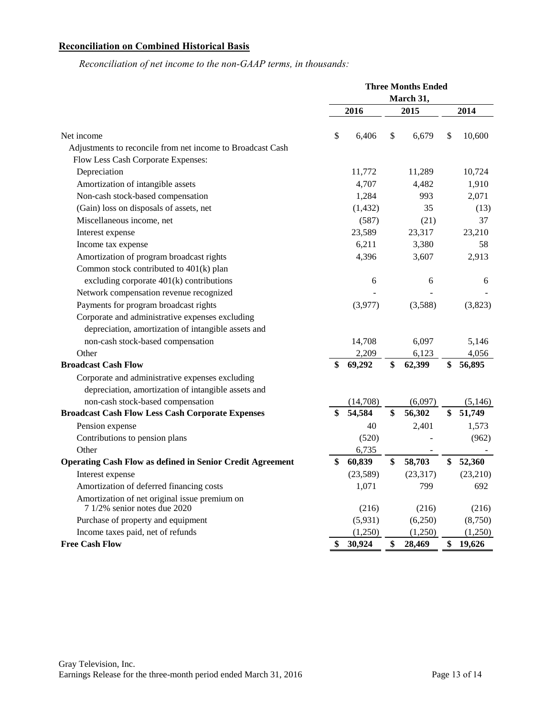# **Reconciliation on Combined Historical Basis**

*Reconciliation of net income to the non-GAAP terms, in thousands:*

|                                                                  | <b>Three Months Ended</b> |          |    |           |    |          |
|------------------------------------------------------------------|---------------------------|----------|----|-----------|----|----------|
|                                                                  |                           |          |    | March 31, |    |          |
|                                                                  |                           | 2016     |    | 2015      |    | 2014     |
| Net income                                                       | \$                        | 6,406    | \$ | 6,679     | \$ | 10,600   |
| Adjustments to reconcile from net income to Broadcast Cash       |                           |          |    |           |    |          |
| Flow Less Cash Corporate Expenses:                               |                           |          |    |           |    |          |
| Depreciation                                                     |                           | 11,772   |    | 11,289    |    | 10,724   |
| Amortization of intangible assets                                |                           | 4,707    |    | 4,482     |    | 1,910    |
| Non-cash stock-based compensation                                |                           | 1,284    |    | 993       |    | 2,071    |
| (Gain) loss on disposals of assets, net                          |                           | (1, 432) |    | 35        |    | (13)     |
| Miscellaneous income, net                                        |                           | (587)    |    | (21)      |    | 37       |
| Interest expense                                                 |                           | 23,589   |    | 23,317    |    | 23,210   |
| Income tax expense                                               |                           | 6,211    |    | 3,380     |    | 58       |
| Amortization of program broadcast rights                         |                           | 4,396    |    | 3,607     |    | 2,913    |
| Common stock contributed to 401(k) plan                          |                           |          |    |           |    |          |
| excluding corporate $401(k)$ contributions                       |                           | 6        |    | 6         |    | 6        |
| Network compensation revenue recognized                          |                           |          |    |           |    |          |
| Payments for program broadcast rights                            |                           | (3,977)  |    | (3,588)   |    | (3,823)  |
| Corporate and administrative expenses excluding                  |                           |          |    |           |    |          |
| depreciation, amortization of intangible assets and              |                           |          |    |           |    |          |
| non-cash stock-based compensation                                |                           | 14,708   |    | 6,097     |    | 5,146    |
| Other                                                            |                           | 2,209    |    | 6,123     |    | 4,056    |
| <b>Broadcast Cash Flow</b>                                       | \$                        | 69,292   | \$ | 62,399    | \$ | 56,895   |
| Corporate and administrative expenses excluding                  |                           |          |    |           |    |          |
| depreciation, amortization of intangible assets and              |                           |          |    |           |    |          |
| non-cash stock-based compensation                                |                           | (14,708) |    | (6,097)   |    | (5, 146) |
| <b>Broadcast Cash Flow Less Cash Corporate Expenses</b>          | \$                        | 54,584   | \$ | 56,302    | \$ | 51,749   |
| Pension expense                                                  |                           | 40       |    | 2,401     |    | 1,573    |
| Contributions to pension plans                                   |                           | (520)    |    |           |    | (962)    |
| Other                                                            |                           | 6,735    |    |           |    |          |
| <b>Operating Cash Flow as defined in Senior Credit Agreement</b> | \$                        | 60,839   | \$ | 58,703    | \$ | 52,360   |
| Interest expense                                                 |                           | (23,589) |    | (23, 317) |    | (23,210) |
| Amortization of deferred financing costs                         |                           | 1,071    |    | 799       |    | 692      |
| Amortization of net original issue premium on                    |                           |          |    |           |    |          |
| 7 1/2% senior notes due 2020                                     |                           | (216)    |    | (216)     |    | (216)    |
| Purchase of property and equipment                               |                           | (5,931)  |    | (6,250)   |    | (8,750)  |
| Income taxes paid, net of refunds                                |                           | (1,250)  |    | (1,250)   |    | (1,250)  |
| <b>Free Cash Flow</b>                                            | \$                        | 30,924   | \$ | 28,469    | \$ | 19,626   |